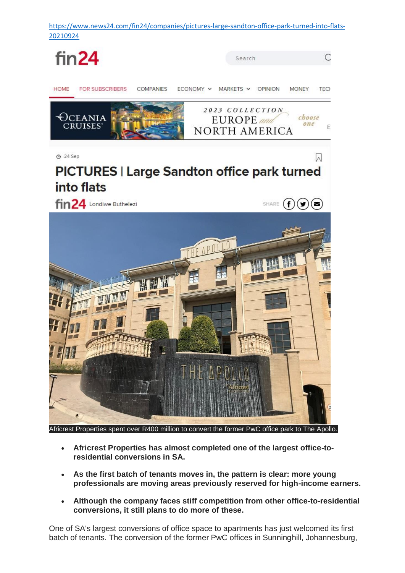

- - **Africrest Properties has almost completed one of the largest office-toresidential conversions in SA.**
	- **As the first batch of tenants moves in, the pattern is clear: more young professionals are moving areas previously reserved for high-income earners.**
	- **Although the company faces stiff competition from other office-to-residential conversions, it still plans to do more of these.**

One of SA's largest conversions of office space to apartments has just welcomed its first batch of tenants. The conversion of the former PwC offices in Sunninghill, Johannesburg,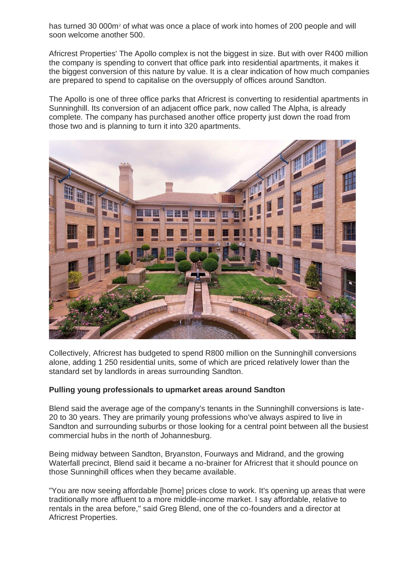has turned 30 000m<sup>2</sup> of what was once a place of work into homes of 200 people and will soon welcome another 500.

Africrest Properties' The Apollo complex is not the biggest in size. But with over R400 million the company is spending to convert that office park into residential apartments, it makes it the biggest conversion of this nature by value. It is a clear indication of how much companies are prepared to spend to capitalise on the oversupply of offices around Sandton.

The Apollo is one of three office parks that Africrest is converting to residential apartments in Sunninghill. Its conversion of an adjacent office park, now called The Alpha, is already complete. The company has purchased another office property just down the road from those two and is planning to turn it into 320 apartments.



Collectively, Africrest has budgeted to spend R800 million on the Sunninghill conversions alone, adding 1 250 residential units, some of which are priced relatively lower than the standard set by landlords in areas surrounding Sandton.

## **Pulling young professionals to upmarket areas around Sandton**

Blend said the average age of the company's tenants in the Sunninghill conversions is late-20 to 30 years. They are primarily young professions who've always aspired to live in Sandton and surrounding suburbs or those looking for a central point between all the busiest commercial hubs in the north of Johannesburg.

Being midway between Sandton, Bryanston, Fourways and Midrand, and the growing Waterfall precinct, Blend said it became a no-brainer for Africrest that it should pounce on those Sunninghill offices when they became available.

"You are now seeing affordable [home] prices close to work. It's opening up areas that were traditionally more affluent to a more middle-income market. I say affordable, relative to rentals in the area before," said Greg Blend, one of the co-founders and a director at Africrest Properties.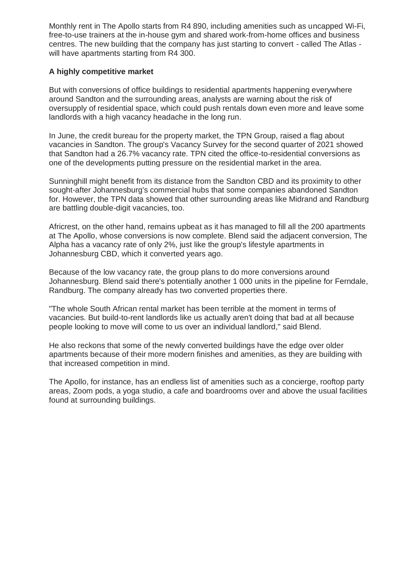Monthly rent in The Apollo starts from R4 890, including amenities such as uncapped Wi-Fi, free-to-use trainers at the in-house gym and shared work-from-home offices and business centres. The new building that the company has just starting to convert - called The Atlas will have apartments starting from R4 300.

## **A highly competitive market**

But with conversions of office buildings to residential apartments happening everywhere around Sandton and the surrounding areas, analysts are warning about the risk of oversupply of residential space, which could push rentals down even more and leave some landlords with a high vacancy headache in the long run.

In June, the credit bureau for the property market, the TPN Group, raised a flag about vacancies in Sandton. The group's Vacancy Survey for the second quarter of 2021 showed that Sandton had a 26.7% vacancy rate. TPN cited the office-to-residential conversions as one of the developments putting pressure on the residential market in the area.

Sunninghill might benefit from its distance from the Sandton CBD and its proximity to other sought-after Johannesburg's commercial hubs that some companies abandoned Sandton for. However, the TPN data showed that other surrounding areas like Midrand and Randburg are battling double-digit vacancies, too.

Africrest, on the other hand, remains upbeat as it has managed to fill all the 200 apartments at The Apollo, whose conversions is now complete. Blend said the adjacent conversion, The Alpha has a vacancy rate of only 2%, just like the group's lifestyle apartments in Johannesburg CBD, which it converted years ago.

Because of the low vacancy rate, the group plans to do more conversions around Johannesburg. Blend said there's potentially another 1 000 units in the pipeline for Ferndale, Randburg. The company already has two converted properties there.

"The whole South African rental market has been terrible at the moment in terms of vacancies. But build-to-rent landlords like us actually aren't doing that bad at all because people looking to move will come to us over an individual landlord," said Blend.

He also reckons that some of the newly converted buildings have the edge over older apartments because of their more modern finishes and amenities, as they are building with that increased competition in mind.

The Apollo, for instance, has an endless list of amenities such as a concierge, rooftop party areas, Zoom pods, a yoga studio, a cafe and boardrooms over and above the usual facilities found at surrounding buildings.